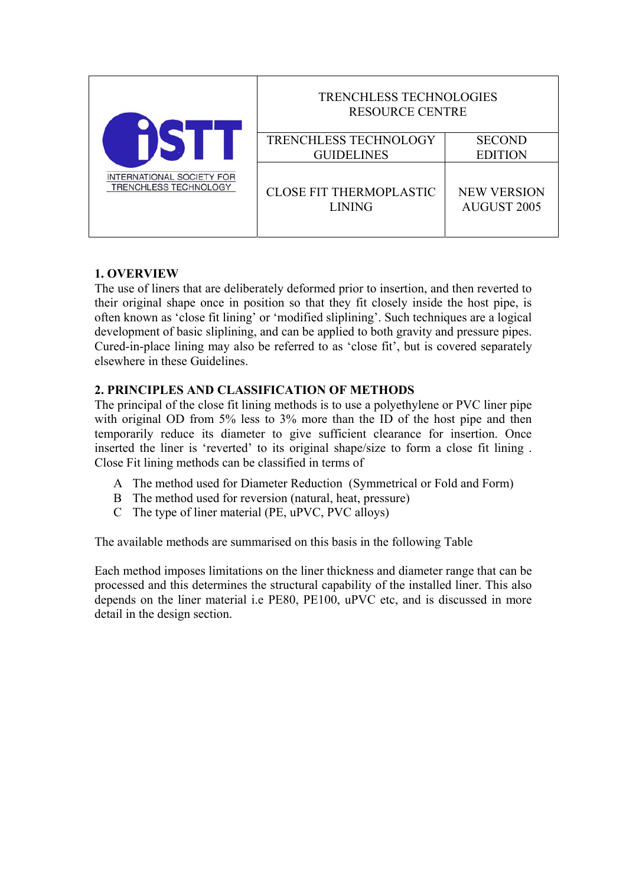| INTERNATIONAL SOCIETY FOR<br>TRENCHLESS TECHNOLOGY | <b>TRENCHLESS TECHNOLOGIES</b><br><b>RESOURCE CENTRE</b> |                                          |  |  |  |
|----------------------------------------------------|----------------------------------------------------------|------------------------------------------|--|--|--|
|                                                    | TRENCHLESS TECHNOLOGY<br><b>GUIDELINES</b>               | <b>SECOND</b><br><b>EDITION</b>          |  |  |  |
|                                                    | <b>CLOSE FIT THERMOPLASTIC</b><br><b>LINING</b>          | <b>NEW VERSION</b><br><b>AUGUST 2005</b> |  |  |  |

### **1. OVERVIEW**

The use of liners that are deliberately deformed prior to insertion, and then reverted to their original shape once in position so that they fit closely inside the host pipe, is often known as 'close fit lining' or 'modified sliplining'. Such techniques are a logical development of basic sliplining, and can be applied to both gravity and pressure pipes. Cured-in-place lining may also be referred to as 'close fit', but is covered separately elsewhere in these Guidelines.

# **2. PRINCIPLES AND CLASSIFICATION OF METHODS**

The principal of the close fit lining methods is to use a polyethylene or PVC liner pipe with original OD from 5% less to 3% more than the ID of the host pipe and then temporarily reduce its diameter to give sufficient clearance for insertion. Once inserted the liner is 'reverted' to its original shape/size to form a close fit lining . Close Fit lining methods can be classified in terms of

- A The method used for Diameter Reduction (Symmetrical or Fold and Form)
- B The method used for reversion (natural, heat, pressure)
- C The type of liner material (PE, uPVC, PVC alloys)

The available methods are summarised on this basis in the following Table

Each method imposes limitations on the liner thickness and diameter range that can be processed and this determines the structural capability of the installed liner. This also depends on the liner material i.e PE80, PE100, uPVC etc, and is discussed in more detail in the design section.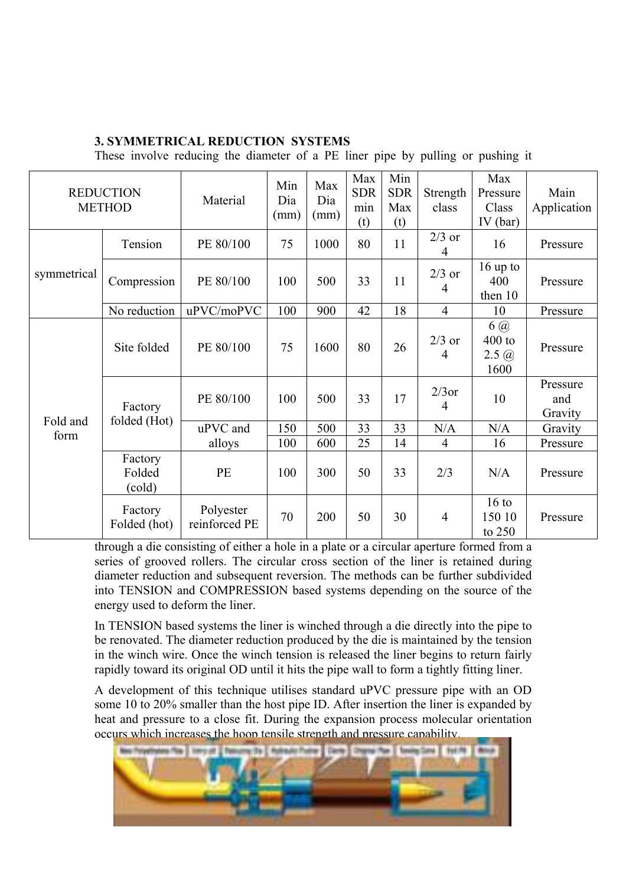# **3. SYMMETRICAL REDUCTION SYSTEMS**

These involve reducing the diameter of a PE liner pipe by pulling or pushing it

|                  | <b>REDUCTION</b><br><b>METHOD</b> | Material                   | Min<br>Dia<br>(mm) | Max<br>Dia<br>(mm) | Max<br><b>SDR</b><br>min<br>(t) | Min<br><b>SDR</b><br>Max<br>(t) | Strength<br>class | Max<br>Pressure<br>Class<br>$IV$ (bar)           | Main<br>Application        |
|------------------|-----------------------------------|----------------------------|--------------------|--------------------|---------------------------------|---------------------------------|-------------------|--------------------------------------------------|----------------------------|
| symmetrical      | Tension                           | PE 80/100                  | 75                 | 1000               | 80                              | 11                              | $2/3$ or<br>4     | 16                                               | Pressure                   |
|                  | Compression                       | PE 80/100                  | 100                | 500                | 33                              | 11                              | $2/3$ or<br>4     | $16$ up to<br>400<br>then 10                     | Pressure                   |
|                  | No reduction                      | uPVC/moPVC                 | 100                | 900                | 42                              | 18                              | $\overline{4}$    | 10                                               | Pressure                   |
| Fold and<br>form | Site folded                       | PE 80/100                  | 75                 | 1600               | 80                              | 26                              | $2/3$ or<br>4     | $6\omega$<br>$400$ to<br>$2.5 \; \omega$<br>1600 | Pressure                   |
|                  | Factory                           | PE 80/100                  | 100                | 500                | 33                              | 17                              | $2/3$ or<br>4     | 10                                               | Pressure<br>and<br>Gravity |
|                  | folded (Hot)                      | uPVC and                   | 150                | 500                | 33                              | 33                              | N/A               | N/A                                              | Gravity                    |
|                  |                                   | alloys                     | 100                | 600                | 25                              | 14                              | $\overline{4}$    | 16                                               | Pressure                   |
|                  | Factory<br>Folded<br>(cold)       | PE                         | 100                | 300                | 50                              | 33                              | 2/3               | N/A                                              | Pressure                   |
|                  | Factory<br>Folded (hot)           | Polyester<br>reinforced PE | 70                 | 200                | 50                              | 30                              | $\overline{4}$    | $16$ to<br>150 10<br>to 250                      | Pressure                   |

through a die consisting of either a hole in a plate or a circular aperture formed from a series of grooved rollers. The circular cross section of the liner is retained during diameter reduction and subsequent reversion. The methods can be further subdivided into TENSION and COMPRESSION based systems depending on the source of the energy used to deform the liner.

In TENSION based systems the liner is winched through a die directly into the pipe to be renovated. The diameter reduction produced by the die is maintained by the tension in the winch wire. Once the winch tension is released the liner begins to return fairly rapidly toward its original OD until it hits the pipe wall to form a tightly fitting liner.

A development of this technique utilises standard uPVC pressure pipe with an OD some 10 to 20% smaller than the host pipe ID. After insertion the liner is expanded by heat and pressure to a close fit. During the expansion process molecular orientation occurs which increases the hoop tensile strength and pressure capability.

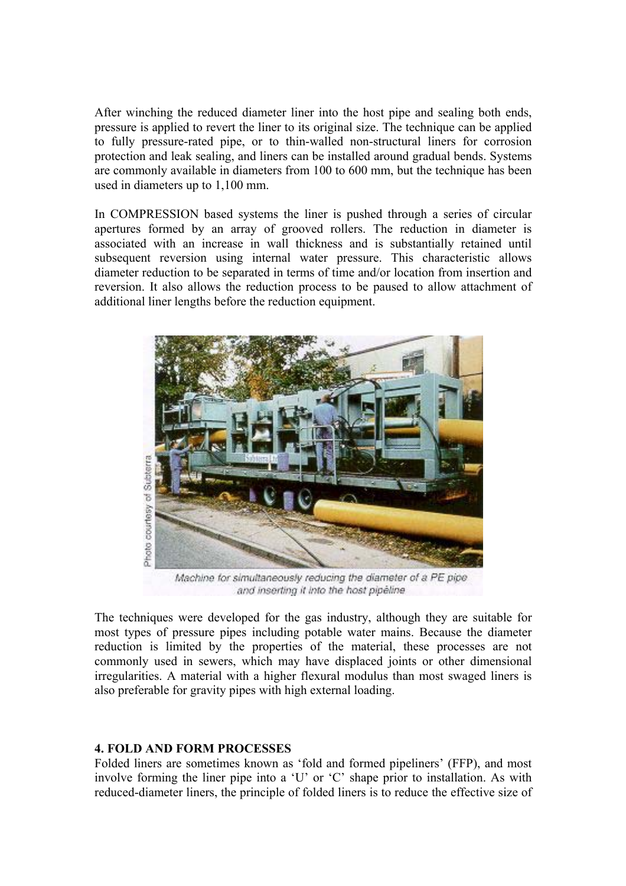After winching the reduced diameter liner into the host pipe and sealing both ends, pressure is applied to revert the liner to its original size. The technique can be applied to fully pressure-rated pipe, or to thin-walled non-structural liners for corrosion protection and leak sealing, and liners can be installed around gradual bends. Systems are commonly available in diameters from 100 to 600 mm, but the technique has been used in diameters up to 1,100 mm.

In COMPRESSION based systems the liner is pushed through a series of circular apertures formed by an array of grooved rollers. The reduction in diameter is associated with an increase in wall thickness and is substantially retained until subsequent reversion using internal water pressure. This characteristic allows diameter reduction to be separated in terms of time and/or location from insertion and reversion. It also allows the reduction process to be paused to allow attachment of additional liner lengths before the reduction equipment.



Machine for simultaneously reducing the diameter of a PE pipe. and inserting it into the host pipeline

The techniques were developed for the gas industry, although they are suitable for most types of pressure pipes including potable water mains. Because the diameter reduction is limited by the properties of the material, these processes are not commonly used in sewers, which may have displaced joints or other dimensional irregularities. A material with a higher flexural modulus than most swaged liners is also preferable for gravity pipes with high external loading.

#### **4. FOLD AND FORM PROCESSES**

Folded liners are sometimes known as 'fold and formed pipeliners' (FFP), and most involve forming the liner pipe into a 'U' or 'C' shape prior to installation. As with reduced-diameter liners, the principle of folded liners is to reduce the effective size of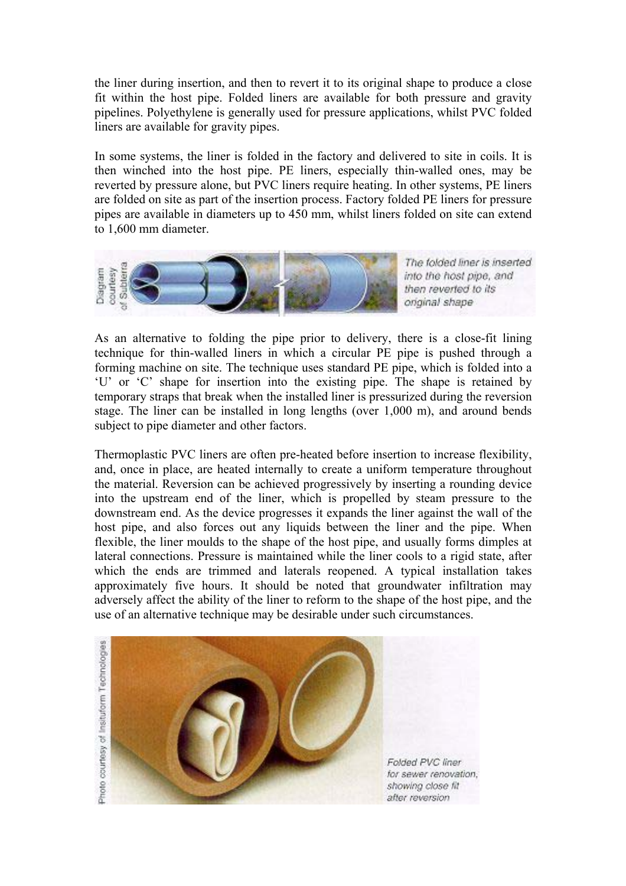the liner during insertion, and then to revert it to its original shape to produce a close fit within the host pipe. Folded liners are available for both pressure and gravity pipelines. Polyethylene is generally used for pressure applications, whilst PVC folded liners are available for gravity pipes.

In some systems, the liner is folded in the factory and delivered to site in coils. It is then winched into the host pipe. PE liners, especially thin-walled ones, may be reverted by pressure alone, but PVC liners require heating. In other systems, PE liners are folded on site as part of the insertion process. Factory folded PE liners for pressure pipes are available in diameters up to 450 mm, whilst liners folded on site can extend to 1,600 mm diameter.



The folded liner is inserted into the host pipe, and then reverted to its original shape

As an alternative to folding the pipe prior to delivery, there is a close-fit lining technique for thin-walled liners in which a circular PE pipe is pushed through a forming machine on site. The technique uses standard PE pipe, which is folded into a 'U' or 'C' shape for insertion into the existing pipe. The shape is retained by temporary straps that break when the installed liner is pressurized during the reversion stage. The liner can be installed in long lengths (over 1,000 m), and around bends subject to pipe diameter and other factors.

Thermoplastic PVC liners are often pre-heated before insertion to increase flexibility, and, once in place, are heated internally to create a uniform temperature throughout the material. Reversion can be achieved progressively by inserting a rounding device into the upstream end of the liner, which is propelled by steam pressure to the downstream end. As the device progresses it expands the liner against the wall of the host pipe, and also forces out any liquids between the liner and the pipe. When flexible, the liner moulds to the shape of the host pipe, and usually forms dimples at lateral connections. Pressure is maintained while the liner cools to a rigid state, after which the ends are trimmed and laterals reopened. A typical installation takes approximately five hours. It should be noted that groundwater infiltration may adversely affect the ability of the liner to reform to the shape of the host pipe, and the use of an alternative technique may be desirable under such circumstances.



Folded PVC liner for sewer renovation. showing close fit after reversion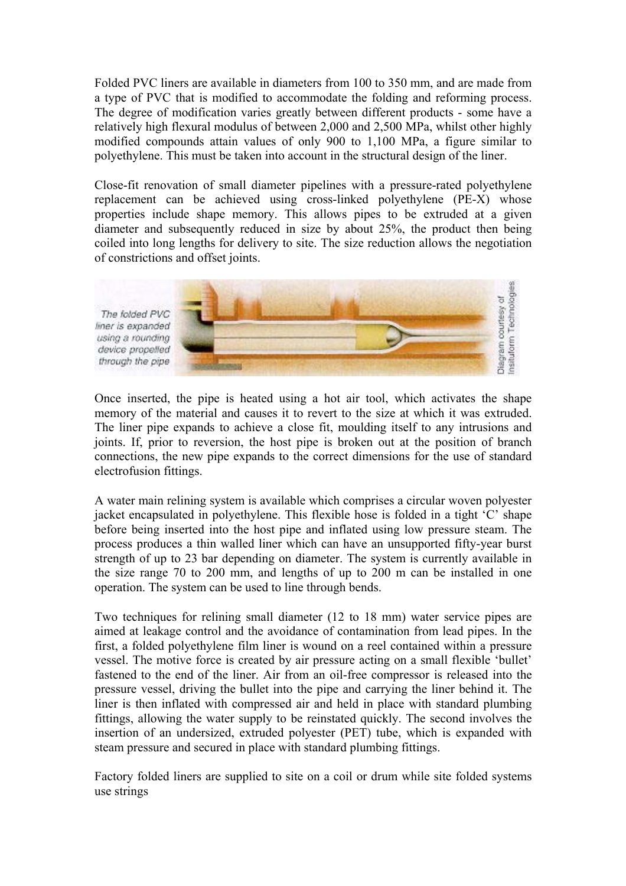Folded PVC liners are available in diameters from 100 to 350 mm, and are made from a type of PVC that is modified to accommodate the folding and reforming process. The degree of modification varies greatly between different products - some have a relatively high flexural modulus of between 2,000 and 2,500 MPa, whilst other highly modified compounds attain values of only 900 to 1,100 MPa, a figure similar to polyethylene. This must be taken into account in the structural design of the liner.

Close-fit renovation of small diameter pipelines with a pressure-rated polyethylene replacement can be achieved using cross-linked polyethylene (PE-X) whose properties include shape memory. This allows pipes to be extruded at a given diameter and subsequently reduced in size by about 25%, the product then being coiled into long lengths for delivery to site. The size reduction allows the negotiation of constrictions and offset joints.



Once inserted, the pipe is heated using a hot air tool, which activates the shape memory of the material and causes it to revert to the size at which it was extruded. The liner pipe expands to achieve a close fit, moulding itself to any intrusions and joints. If, prior to reversion, the host pipe is broken out at the position of branch connections, the new pipe expands to the correct dimensions for the use of standard electrofusion fittings.

A water main relining system is available which comprises a circular woven polyester jacket encapsulated in polyethylene. This flexible hose is folded in a tight 'C' shape before being inserted into the host pipe and inflated using low pressure steam. The process produces a thin walled liner which can have an unsupported fifty-year burst strength of up to 23 bar depending on diameter. The system is currently available in the size range 70 to 200 mm, and lengths of up to 200 m can be installed in one operation. The system can be used to line through bends.

Two techniques for relining small diameter (12 to 18 mm) water service pipes are aimed at leakage control and the avoidance of contamination from lead pipes. In the first, a folded polyethylene film liner is wound on a reel contained within a pressure vessel. The motive force is created by air pressure acting on a small flexible 'bullet' fastened to the end of the liner. Air from an oil-free compressor is released into the pressure vessel, driving the bullet into the pipe and carrying the liner behind it. The liner is then inflated with compressed air and held in place with standard plumbing fittings, allowing the water supply to be reinstated quickly. The second involves the insertion of an undersized, extruded polyester (PET) tube, which is expanded with steam pressure and secured in place with standard plumbing fittings.

Factory folded liners are supplied to site on a coil or drum while site folded systems use strings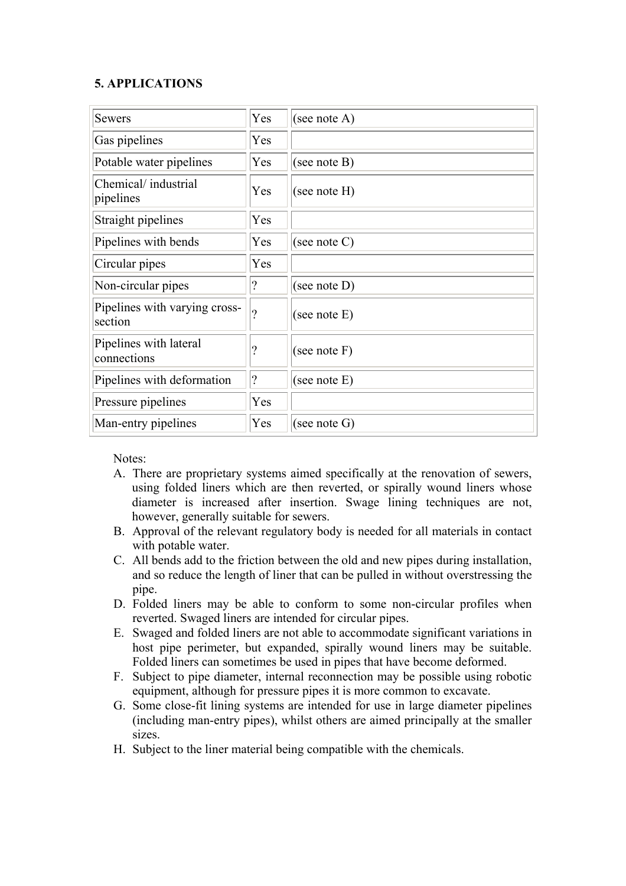### **5. APPLICATIONS**

| <b>Sewers</b>                            | Yes                      | (see note A)    |
|------------------------------------------|--------------------------|-----------------|
| Gas pipelines                            | Yes                      |                 |
| Potable water pipelines                  | Yes                      | (see note $B$ ) |
| Chemical/industrial<br>pipelines         | Yes                      | (see note H)    |
| Straight pipelines                       | Yes                      |                 |
| Pipelines with bends                     | Yes                      | (see note $C$ ) |
| Circular pipes                           | Yes                      |                 |
| Non-circular pipes                       | $\mathcal{P}$            | (see note $D$ ) |
| Pipelines with varying cross-<br>section | ?                        | (see note E)    |
| Pipelines with lateral<br>connections    | $\overline{\mathcal{L}}$ | (see note F)    |
| Pipelines with deformation               | $ 2\rangle$              | (see note E)    |
| Pressure pipelines                       | Yes                      |                 |
| Man-entry pipelines                      | Yes                      | (see note $G$ ) |

Notes:

- A. There are proprietary systems aimed specifically at the renovation of sewers, using folded liners which are then reverted, or spirally wound liners whose diameter is increased after insertion. Swage lining techniques are not, however, generally suitable for sewers.
- B. Approval of the relevant regulatory body is needed for all materials in contact with potable water.
- C. All bends add to the friction between the old and new pipes during installation, and so reduce the length of liner that can be pulled in without overstressing the pipe.
- D. Folded liners may be able to conform to some non-circular profiles when reverted. Swaged liners are intended for circular pipes.
- E. Swaged and folded liners are not able to accommodate significant variations in host pipe perimeter, but expanded, spirally wound liners may be suitable. Folded liners can sometimes be used in pipes that have become deformed.
- F. Subject to pipe diameter, internal reconnection may be possible using robotic equipment, although for pressure pipes it is more common to excavate.
- G. Some close-fit lining systems are intended for use in large diameter pipelines (including man-entry pipes), whilst others are aimed principally at the smaller sizes.
- H. Subject to the liner material being compatible with the chemicals.